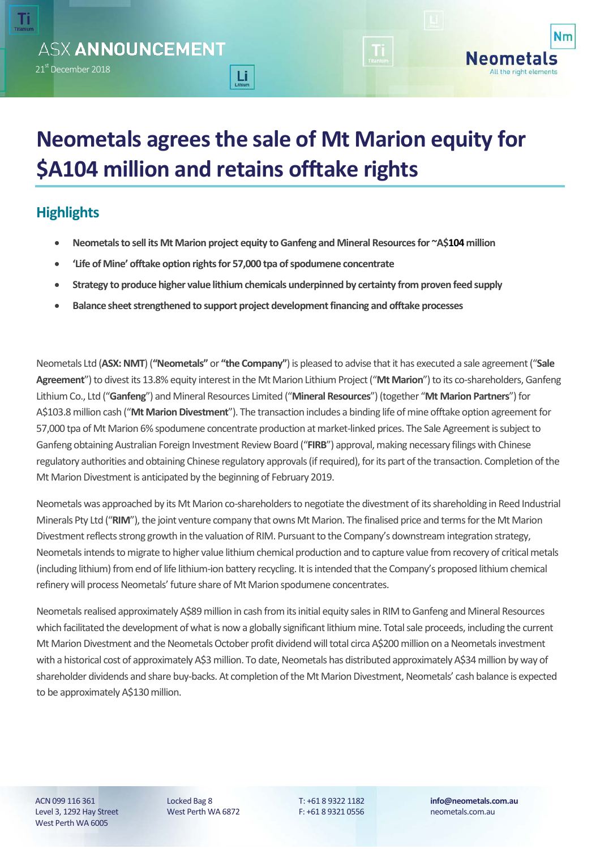Τί

**Nm** 

All the right elements

# **Neometals agrees the sale of Mt Marion equity for \$A104 million and retains offtake rights**

## **Highlights**

- **Neometals to sell its Mt Marion project equity to Ganfeng and Mineral Resources for ~A\$104 million**
- **'Life of Mine' offtake option rights for 57,000 tpa of spodumene concentrate**

 $Li<sub>min</sub>$ 

- **Strategy to produce higher value lithium chemicals underpinned by certainty from proven feed supply**
- **Balance sheetstrengthened to support project development financing and offtake processes**

Neometals Ltd (**ASX: NMT**) (**"Neometals"** or **"the Company"**) is pleased to advise that it has executed a sale agreement ("**Sale Agreement**") to divest its 13.8% equity interest in the Mt Marion Lithium Project ("**Mt Marion**") to its co-shareholders, Ganfeng Lithium Co., Ltd ("**Ganfeng**") and Mineral Resources Limited ("**Mineral Resources**") (together "**Mt Marion Partners**") for A\$103.8 million cash ("**Mt Marion Divestment**"). The transaction includes a binding life of mine offtake option agreement for 57,000 tpa of Mt Marion 6% spodumene concentrate production at market-linked prices. The Sale Agreement is subject to Ganfeng obtaining Australian Foreign Investment Review Board ("**FIRB**") approval, making necessary filings with Chinese regulatory authorities and obtaining Chinese regulatory approvals (if required), for its part of the transaction. Completion of the Mt Marion Divestment is anticipated by the beginning of February 2019.

Neometals was approached by its Mt Marion co-shareholders to negotiate the divestment of its shareholding in Reed Industrial Minerals Pty Ltd ("RIM"), the joint venture company that owns Mt Marion. The finalised price and terms for the Mt Marion Divestment reflects strong growth in the valuation of RIM. Pursuant to the Company's downstream integration strategy, Neometals intends to migrate to higher value lithium chemical production and to capture value from recovery of critical metals (including lithium) from end of life lithium-ion battery recycling. It is intended that the Company's proposed lithium chemical refinery will process Neometals' future share of Mt Marion spodumene concentrates.

Neometals realised approximately A\$89 million in cash from its initial equity sales in RIM to Ganfeng and Mineral Resources which facilitated the development of what is now a globally significant lithium mine. Total sale proceeds, including the current Mt Marion Divestment and the Neometals October profit dividend will total circa A\$200 million on a Neometals investment with a historical cost of approximately A\$3 million. To date, Neometals has distributed approximately A\$34million by way of shareholder dividends and share buy-backs. At completion of the Mt Marion Divestment, Neometals' cash balance is expected to be approximately A\$130 million.

ACN 099 116 361 Level 3, 1292 Hay Street West Perth WA 6005

Locked Bag 8 West Perth WA 6872 T: +61 8 9322 1182 F: +61 8 9321 0556 **info@neometals.com.au** neometals.com.au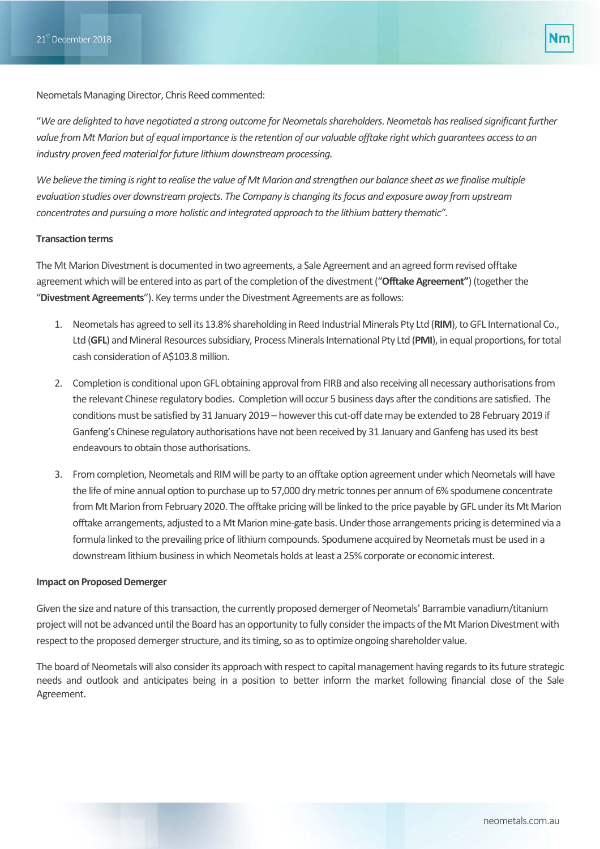Neometals Managing Director, Chris Reed commented:

"*We are delighted to have negotiated a strong outcome for Neometals shareholders. Neometals hasrealised significant further value from Mt Marion but of equal importance is the retention of our valuable offtake right which guarantees access to an industry proven feed material for future lithium downstream processing.*

*We believe the timing is right to realise the value of Mt Marion and strengthen our balance sheet as we finalise multiple evaluation studies over downstream projects. The Company is changing its focus and exposure away from upstream concentrates and pursuing a more holistic and integrated approach to the lithium battery thematic".*

### **Transaction terms**

The Mt Marion Divestment is documented in two agreements, a Sale Agreement and an agreed formrevised offtake agreement which will be entered into as part of the completion of the divestment ("**Offtake Agreement"**)(together the "**Divestment Agreements**"). Key terms under the Divestment Agreements are as follows:

- 1. Neometals has agreed to sell its 13.8% shareholding in Reed Industrial Minerals Pty Ltd (RIM), to GFL International Co., Ltd (**GFL**) and Mineral Resources subsidiary, Process Minerals International Pty Ltd (**PMI**), in equal proportions, for total cash consideration of A\$103.8 million.
- 2. Completion is conditional upon GFL obtaining approval from FIRB and also receiving all necessary authorisations from the relevant Chinese regulatory bodies. Completion will occur 5 business days after the conditions are satisfied. The conditions must be satisfied by 31 January 2019 – however this cut-off date may be extended to 28 February 2019 if Ganfeng's Chinese regulatory authorisations have not been received by 31 January and Ganfeng has used its best endeavours to obtain those authorisations.
- 3. From completion, Neometals and RIM will be party to an offtake option agreement under which Neometals will have the life of mine annual option to purchase up to 57,000 dry metric tonnes per annumof 6% spodumene concentrate from Mt Marion from February 2020. The offtake pricing will be linked to the price payable by GFL under its Mt Marion offtake arrangements, adjusted to a Mt Marion mine-gate basis. Under those arrangements pricing is determined via a formula linked to the prevailing price of lithium compounds. Spodumene acquired by Neometals must be used in a downstream lithium business in which Neometals holds at least a 25% corporate or economic interest.

#### **Impact on Proposed Demerger**

Given the size and nature of this transaction, the currently proposed demerger of Neometals' Barrambie vanadium/titanium project will not be advanced until the Board has an opportunity to fully consider the impacts of the Mt Marion Divestment with respect to the proposed demerger structure, and its timing, so as to optimize ongoing shareholder value.

The board of Neometals will also consider its approach with respect to capital management having regards to its future strategic needs and outlook and anticipates being in a position to better inform the market following financial close of the Sale Agreement.